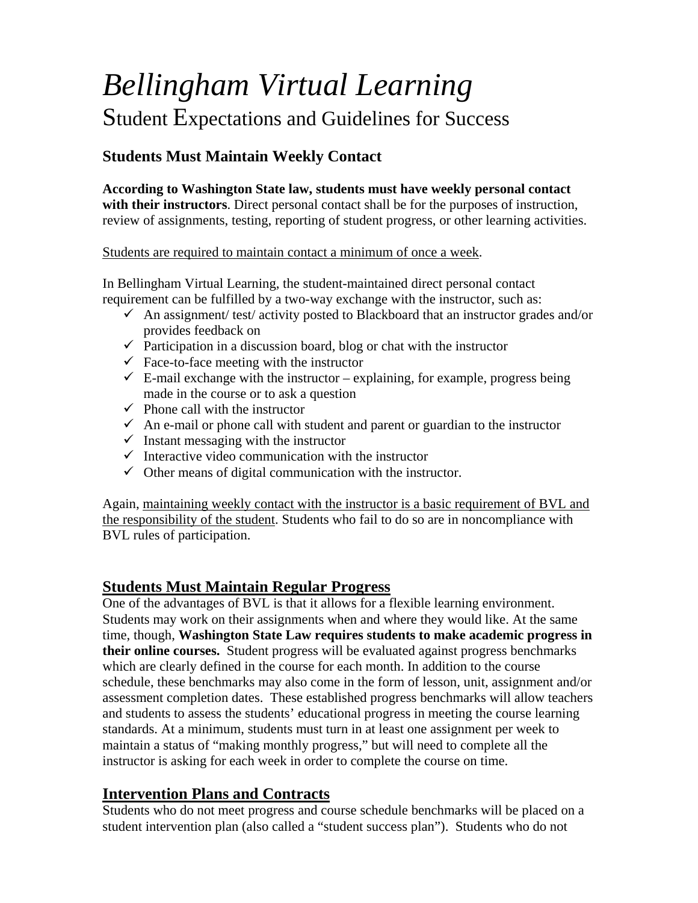# *Bellingham Virtual Learning*  Student Expectations and Guidelines for Success

# **Students Must Maintain Weekly Contact**

**According to Washington State law, students must have weekly personal contact with their instructors**. Direct personal contact shall be for the purposes of instruction, review of assignments, testing, reporting of student progress, or other learning activities.

Students are required to maintain contact a minimum of once a week.

In Bellingham Virtual Learning, the student-maintained direct personal contact requirement can be fulfilled by a two-way exchange with the instructor, such as:

- $\checkmark$  An assignment/ test/ activity posted to Blackboard that an instructor grades and/or provides feedback on
- $\checkmark$  Participation in a discussion board, blog or chat with the instructor
- $\checkmark$  Face-to-face meeting with the instructor
- $\checkmark$  E-mail exchange with the instructor explaining, for example, progress being made in the course or to ask a question
- $\checkmark$  Phone call with the instructor
- $\checkmark$  An e-mail or phone call with student and parent or guardian to the instructor
- $\checkmark$  Instant messaging with the instructor
- $\checkmark$  Interactive video communication with the instructor
- $\checkmark$  Other means of digital communication with the instructor.

Again, maintaining weekly contact with the instructor is a basic requirement of BVL and the responsibility of the student. Students who fail to do so are in noncompliance with BVL rules of participation.

## **Students Must Maintain Regular Progress**

One of the advantages of BVL is that it allows for a flexible learning environment. Students may work on their assignments when and where they would like. At the same time, though, **Washington State Law requires students to make academic progress in their online courses.** Student progress will be evaluated against progress benchmarks which are clearly defined in the course for each month. In addition to the course schedule, these benchmarks may also come in the form of lesson, unit, assignment and/or assessment completion dates. These established progress benchmarks will allow teachers and students to assess the students' educational progress in meeting the course learning standards. At a minimum, students must turn in at least one assignment per week to maintain a status of "making monthly progress," but will need to complete all the instructor is asking for each week in order to complete the course on time.

## **Intervention Plans and Contracts**

Students who do not meet progress and course schedule benchmarks will be placed on a student intervention plan (also called a "student success plan"). Students who do not